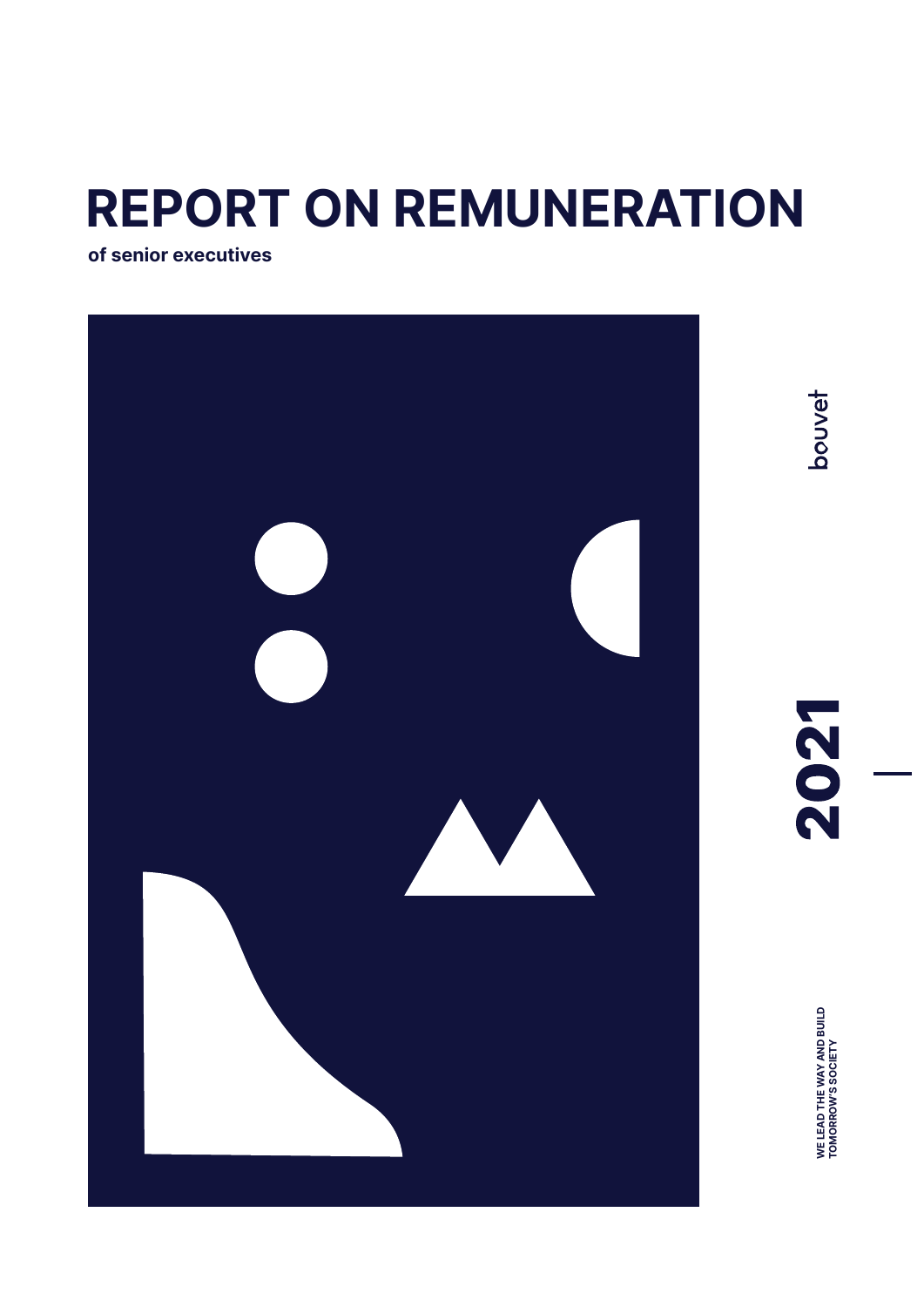# **REPORT ON REMUNERATION**

**of senior executives**



bouvet

2021

**WE LEAD THE WAY AND BUILD<br>TOMORROW'S SOCIETY WE LEAD THE WAY AND BUILD TOMORROW'S SOCIETY**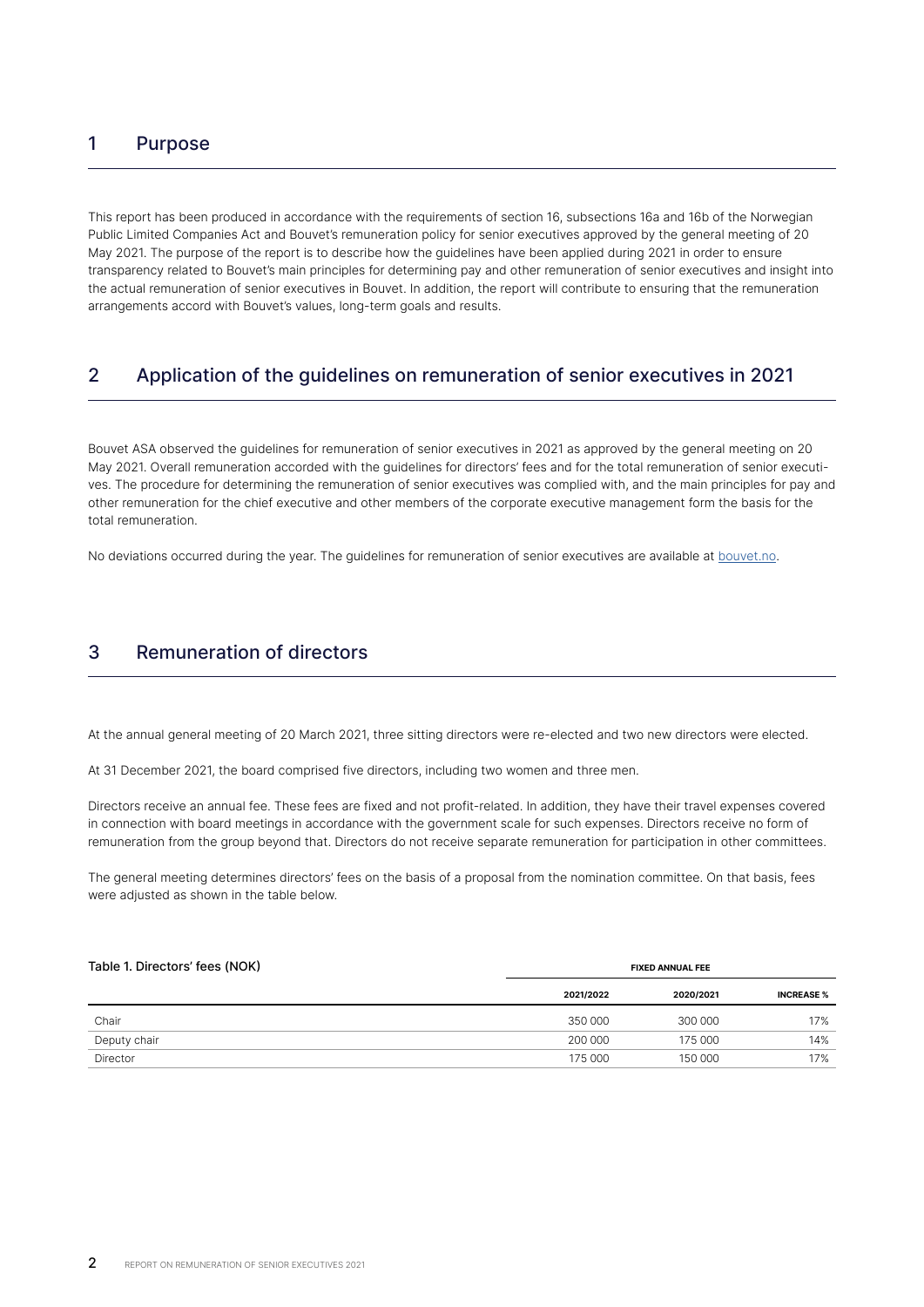# 1 Purpose

This report has been produced in accordance with the requirements of section 16, subsections 16a and 16b of the Norwegian Public Limited Companies Act and Bouvet's remuneration policy for senior executives approved by the general meeting of 20 May 2021. The purpose of the report is to describe how the guidelines have been applied during 2021 in order to ensure transparency related to Bouvet's main principles for determining pay and other remuneration of senior executives and insight into the actual remuneration of senior executives in Bouvet. In addition, the report will contribute to ensuring that the remuneration arrangements accord with Bouvet's values, long-term goals and results.

# 2 Application of the guidelines on remuneration of senior executives in 2021

Bouvet ASA observed the guidelines for remuneration of senior executives in 2021 as approved by the general meeting on 20 May 2021. Overall remuneration accorded with the guidelines for directors' fees and for the total remuneration of senior executives. The procedure for determining the remuneration of senior executives was complied with, and the main principles for pay and other remuneration for the chief executive and other members of the corporate executive management form the basis for the total remuneration.

No deviations occurred during the year. The guidelines for remuneration of senior executives are available at [bouvet.no](http://bouvet.no).

# 3 Remuneration of directors

At the annual general meeting of 20 March 2021, three sitting directors were re-elected and two new directors were elected.

At 31 December 2021, the board comprised five directors, including two women and three men.

Directors receive an annual fee. These fees are fixed and not profit-related. In addition, they have their travel expenses covered in connection with board meetings in accordance with the government scale for such expenses. Directors receive no form of remuneration from the group beyond that. Directors do not receive separate remuneration for participation in other committees.

The general meeting determines directors' fees on the basis of a proposal from the nomination committee. On that basis, fees were adjusted as shown in the table below.

| Table 1. Directors' fees (NOK) | <b>FIXED ANNUAL FEE</b> |           |                   |  |  |  |
|--------------------------------|-------------------------|-----------|-------------------|--|--|--|
|                                | 2021/2022               | 2020/2021 | <b>INCREASE</b> % |  |  |  |
| Chair                          | 350 000                 | 300 000   | 17%               |  |  |  |
| Deputy chair                   | 200 000                 | 175 000   | 14%               |  |  |  |
| Director                       | 175 000                 | 150 000   | 17%               |  |  |  |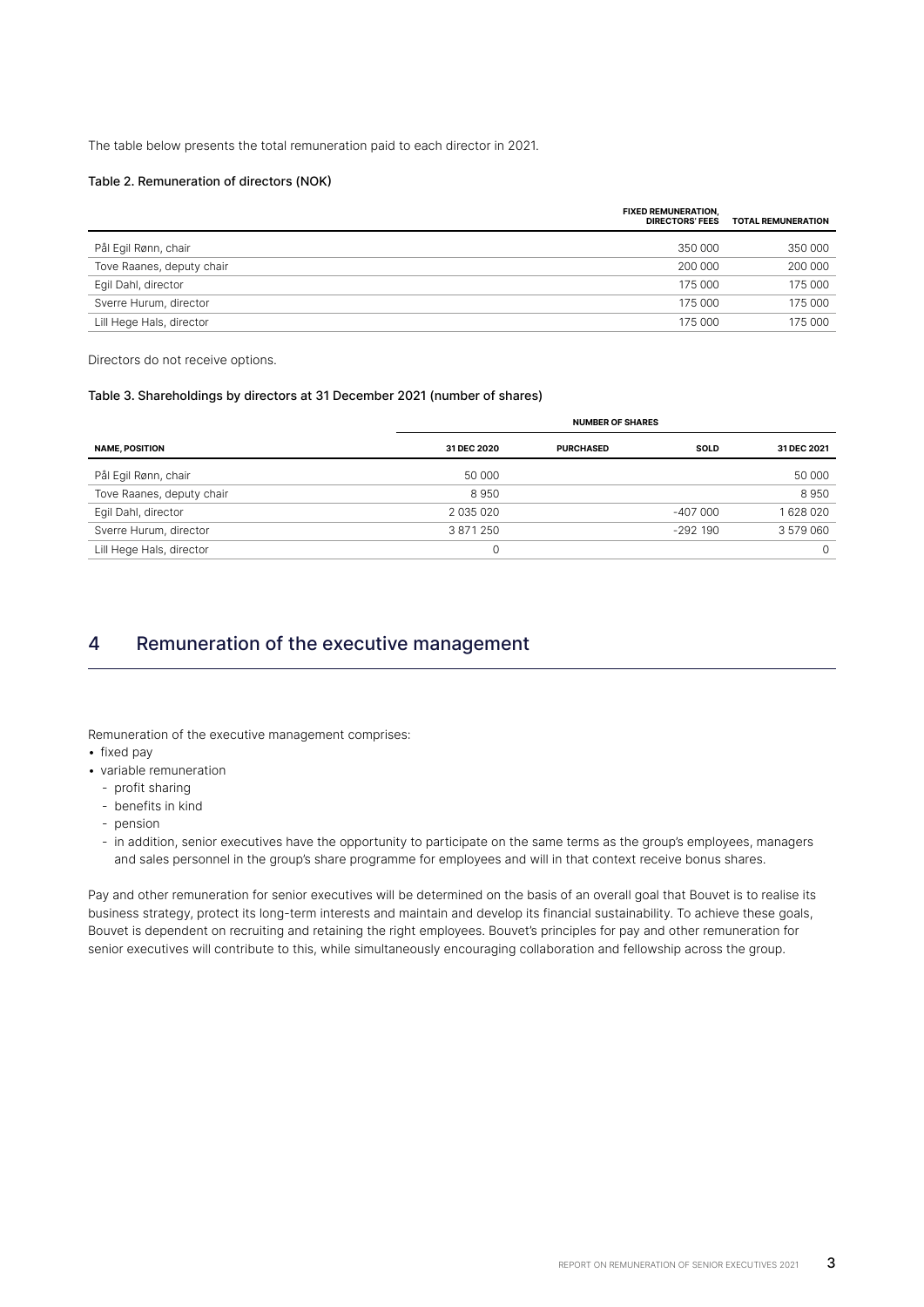The table below presents the total remuneration paid to each director in 2021.

#### Table 2. Remuneration of directors (NOK)

|                           | <b>FIXED REMUNERATION,</b><br><b>DIRECTORS' FEES</b> | <b>TOTAL REMUNERATION</b> |
|---------------------------|------------------------------------------------------|---------------------------|
| Pål Egil Rønn, chair      | 350 000                                              | 350 000                   |
| Tove Raanes, deputy chair | 200 000                                              | 200 000                   |
| Egil Dahl, director       | 175 000                                              | 175 000                   |
| Sverre Hurum, director    | 175 000                                              | 175 000                   |
| Lill Hege Hals, director  | 175 000                                              | 175 000                   |
|                           |                                                      |                           |

Directors do not receive options.

#### Table 3. Shareholdings by directors at 31 December 2021 (number of shares)

|                           |             | <b>NUMBER OF SHARES</b> |             |             |  |  |  |  |
|---------------------------|-------------|-------------------------|-------------|-------------|--|--|--|--|
| <b>NAME, POSITION</b>     | 31 DEC 2020 | <b>PURCHASED</b>        | <b>SOLD</b> | 31 DEC 2021 |  |  |  |  |
| Pål Egil Rønn, chair      | 50 000      |                         |             | 50 000      |  |  |  |  |
| Tove Raanes, deputy chair | 8950        |                         |             | 8950        |  |  |  |  |
| Egil Dahl, director       | 2 035 020   |                         | $-407000$   | 1628020     |  |  |  |  |
| Sverre Hurum, director    | 3871250     |                         | $-292$ 190  | 3 579 060   |  |  |  |  |
| Lill Hege Hals, director  |             |                         |             | $\Omega$    |  |  |  |  |
|                           |             |                         |             |             |  |  |  |  |

# 4 Remuneration of the executive management

Remuneration of the executive management comprises:

- fixed pay
- variable remuneration
	- profit sharing
	- benefits in kind
	- pension
	- in addition, senior executives have the opportunity to participate on the same terms as the group's employees, managers and sales personnel in the group's share programme for employees and will in that context receive bonus shares.

Pay and other remuneration for senior executives will be determined on the basis of an overall goal that Bouvet is to realise its business strategy, protect its long-term interests and maintain and develop its financial sustainability. To achieve these goals, Bouvet is dependent on recruiting and retaining the right employees. Bouvet's principles for pay and other remuneration for senior executives will contribute to this, while simultaneously encouraging collaboration and fellowship across the group.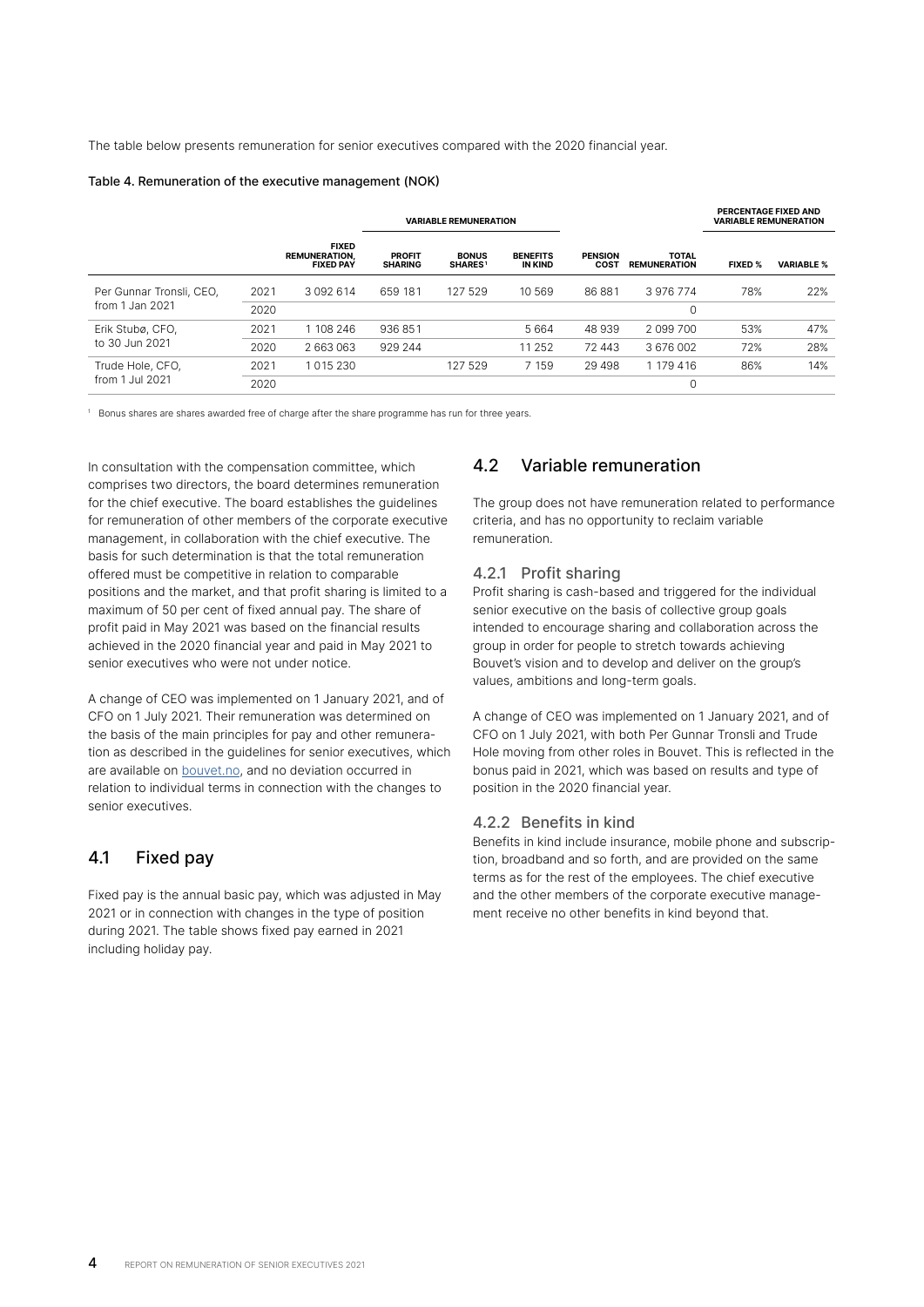The table below presents remuneration for senior executives compared with the 2020 financial year.

#### Table 4. Remuneration of the executive management (NOK)

|                          |      |                                                          |                                 | <b>VARIABLE REMUNERATION</b>  |                            |                        |                                     | PERCENTAGE FIXED AND<br><b>VARIABLE REMUNERATION</b> |                   |
|--------------------------|------|----------------------------------------------------------|---------------------------------|-------------------------------|----------------------------|------------------------|-------------------------------------|------------------------------------------------------|-------------------|
|                          |      | <b>FIXED</b><br><b>REMUNERATION.</b><br><b>FIXED PAY</b> | <b>PROFIT</b><br><b>SHARING</b> | <b>BONUS</b><br><b>SHARES</b> | <b>BENEFITS</b><br>IN KIND | <b>PENSION</b><br>COST | <b>TOTAL</b><br><b>REMUNERATION</b> | <b>FIXED %</b>                                       | <b>VARIABLE %</b> |
| Per Gunnar Tronsli, CEO, | 2021 | 3 0 9 2 6 1 4                                            | 659 181                         | 127 529                       | 10 569                     | 86 881                 | 3976774                             | 78%                                                  | 22%               |
| from $1$ Jan $2021$      | 2020 |                                                          |                                 |                               |                            |                        | 0                                   |                                                      |                   |
| Erik Stubø, CFO,         | 2021 | 1 108 246                                                | 936851                          |                               | 5664                       | 48 939                 | 2 099 700                           | 53%                                                  | 47%               |
| to 30 Jun 2021           | 2020 | 2 663 063                                                | 929 244                         |                               | 11 252                     | 72 443                 | 3676002                             | 72%                                                  | 28%               |
| Trude Hole, CFO,         | 2021 | 1015230                                                  |                                 | 127 529                       | 7 159                      | 29 4 9 8               | 1 179 416                           | 86%                                                  | 14%               |
| from 1 Jul 2021          | 2020 |                                                          |                                 |                               |                            |                        | 0                                   |                                                      |                   |

<sup>1</sup> Bonus shares are shares awarded free of charge after the share programme has run for three years.

In consultation with the compensation committee, which comprises two directors, the board determines remuneration for the chief executive. The board establishes the guidelines for remuneration of other members of the corporate executive management, in collaboration with the chief executive. The basis for such determination is that the total remuneration offered must be competitive in relation to comparable positions and the market, and that profit sharing is limited to a maximum of 50 per cent of fixed annual pay. The share of profit paid in May 2021 was based on the financial results achieved in the 2020 financial year and paid in May 2021 to senior executives who were not under notice.

A change of CEO was implemented on 1 January 2021, and of CFO on 1 July 2021. Their remuneration was determined on the basis of the main principles for pay and other remuneration as described in the guidelines for senior executives, which are available on **bouvet.no**, and no deviation occurred in relation to individual terms in connection with the changes to senior executives.

## 4.1 Fixed pay

Fixed pay is the annual basic pay, which was adjusted in May 2021 or in connection with changes in the type of position during 2021. The table shows fixed pay earned in 2021 including holiday pay.

## 4.2 Variable remuneration

The group does not have remuneration related to performance criteria, and has no opportunity to reclaim variable remuneration.

## 4.2.1 Profit sharing

Profit sharing is cash-based and triggered for the individual senior executive on the basis of collective group goals intended to encourage sharing and collaboration across the group in order for people to stretch towards achieving Bouvet's vision and to develop and deliver on the group's values, ambitions and long-term goals.

A change of CEO was implemented on 1 January 2021, and of CFO on 1 July 2021, with both Per Gunnar Tronsli and Trude Hole moving from other roles in Bouvet. This is reflected in the bonus paid in 2021, which was based on results and type of position in the 2020 financial year.

#### 4.2.2 Benefits in kind

Benefits in kind include insurance, mobile phone and subscription, broadband and so forth, and are provided on the same terms as for the rest of the employees. The chief executive and the other members of the corporate executive management receive no other benefits in kind beyond that.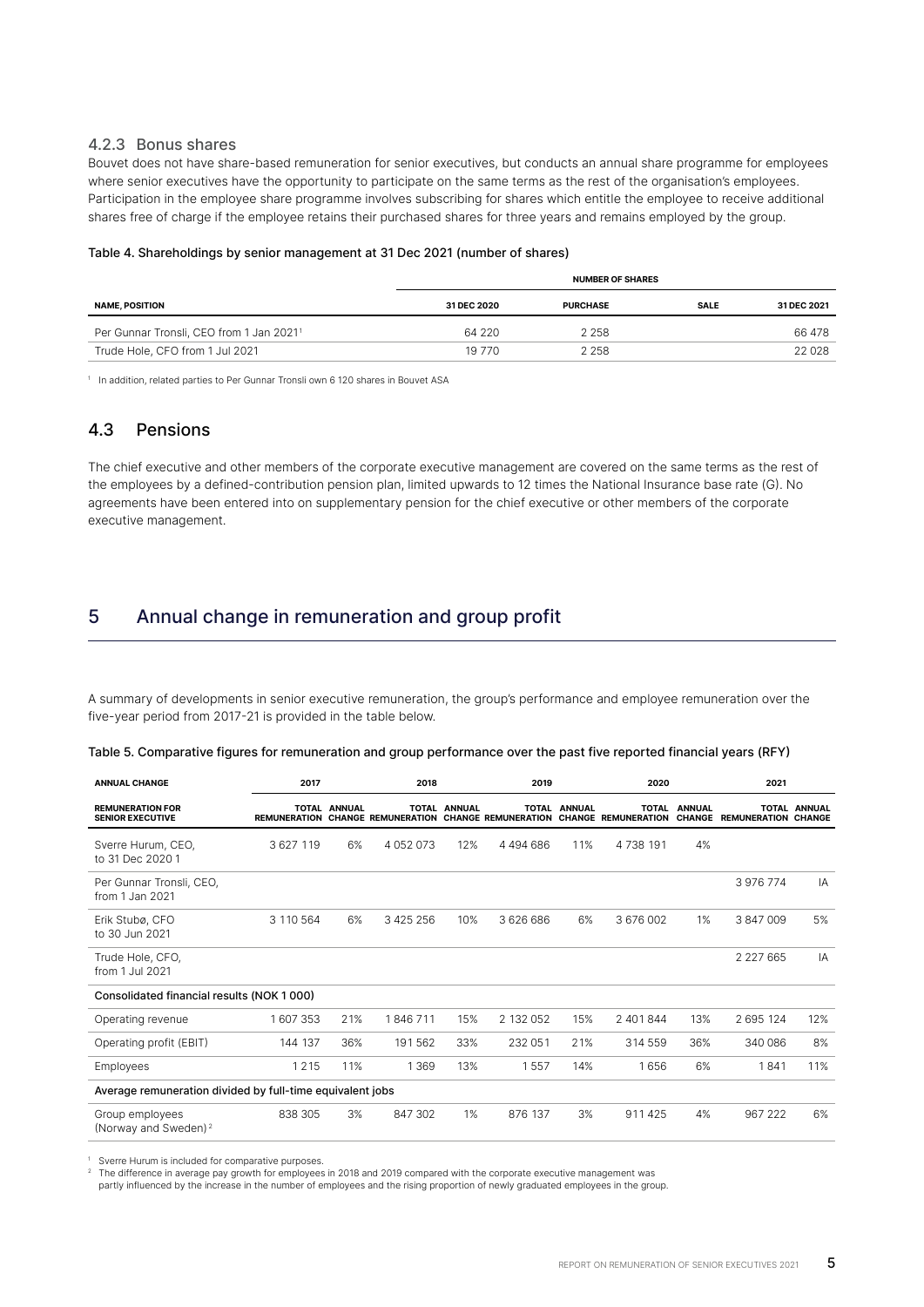## 4.2.3 Bonus shares

Bouvet does not have share-based remuneration for senior executives, but conducts an annual share programme for employees where senior executives have the opportunity to participate on the same terms as the rest of the organisation's employees. Participation in the employee share programme involves subscribing for shares which entitle the employee to receive additional shares free of charge if the employee retains their purchased shares for three years and remains employed by the group.

#### Table 4. Shareholdings by senior management at 31 Dec 2021 (number of shares)

|                                                      | <b>NUMBER OF SHARES</b> |                 |             |             |  |  |  |
|------------------------------------------------------|-------------------------|-----------------|-------------|-------------|--|--|--|
| <b>NAME, POSITION</b>                                | <b>31 DEC 2020</b>      | <b>PURCHASE</b> | <b>SALE</b> | 31 DEC 2021 |  |  |  |
| Per Gunnar Tronsli, CEO from 1 Jan 2021 <sup>1</sup> | 64 220                  | 2 2 5 8         |             | 66 478      |  |  |  |
| Trude Hole, CFO from 1 Jul 2021                      | 19 770                  | 2 2 5 8         |             | 22 0 28     |  |  |  |

<sup>1</sup> In addition, related parties to Per Gunnar Tronsli own 6 120 shares in Bouvet ASA

## 4.3 Pensions

The chief executive and other members of the corporate executive management are covered on the same terms as the rest of the employees by a defined-contribution pension plan, limited upwards to 12 times the National Insurance base rate (G). No agreements have been entered into on supplementary pension for the chief executive or other members of the corporate executive management.

# 5 Annual change in remuneration and group profit

A summary of developments in senior executive remuneration, the group's performance and employee remuneration over the five-year period from 2017-21 is provided in the table below.

|  |  | Table 5. Comparative figures for remuneration and group performance over the past five reported financial years (RFY) |  |  |
|--|--|-----------------------------------------------------------------------------------------------------------------------|--|--|
|  |  |                                                                                                                       |  |  |

| <b>ANNUAL CHANGE</b>                                      | 2017      |                     | 2018                                                 | 2019         |               | 2020         |                                            | 2021          |                                   |                     |
|-----------------------------------------------------------|-----------|---------------------|------------------------------------------------------|--------------|---------------|--------------|--------------------------------------------|---------------|-----------------------------------|---------------------|
| <b>REMUNERATION FOR</b><br><b>SENIOR EXECUTIVE</b>        |           | <b>TOTAL ANNUAL</b> | REMUNERATION CHANGE REMUNERATION CHANGE REMUNERATION | TOTAL ANNUAL |               | TOTAL ANNUAL | <b>TOTAL</b><br><b>CHANGE REMUNERATION</b> | <b>ANNUAL</b> | <b>CHANGE REMUNERATION CHANGE</b> | <b>TOTAL ANNUAL</b> |
| Sverre Hurum, CEO,<br>to 31 Dec 2020 1                    | 3 627 119 | 6%                  | 4 0 5 2 0 7 3                                        | 12%          | 4 4 9 4 6 8 6 | 11%          | 4 7 3 8 1 9 1                              | 4%            |                                   |                     |
| Per Gunnar Tronsli, CEO,<br>from 1 Jan 2021               |           |                     |                                                      |              |               |              |                                            |               | 3 976 774                         | IA                  |
| Erik Stubø, CFO<br>to 30 Jun 2021                         | 3 110 564 | 6%                  | 3 4 2 5 2 5 6                                        | 10%          | 3626686       | 6%           | 3676002                                    | 1%            | 3847009                           | 5%                  |
| Trude Hole, CFO,<br>from 1 Jul 2021                       |           |                     |                                                      |              |               |              |                                            |               | 2 2 2 7 6 6 5                     | IA                  |
| Consolidated financial results (NOK 1000)                 |           |                     |                                                      |              |               |              |                                            |               |                                   |                     |
| Operating revenue                                         | 1607353   | 21%                 | 1846711                                              | 15%          | 2 132 052     | 15%          | 2 401 844                                  | 13%           | 2 695 124                         | 12%                 |
| Operating profit (EBIT)                                   | 144 137   | 36%                 | 191562                                               | 33%          | 232 051       | 21%          | 314 559                                    | 36%           | 340 086                           | 8%                  |
| Employees                                                 | 1215      | 11%                 | 1 3 6 9                                              | 13%          | 1557          | 14%          | 1656                                       | 6%            | 1841                              | 11%                 |
| Average remuneration divided by full-time equivalent jobs |           |                     |                                                      |              |               |              |                                            |               |                                   |                     |
| Group employees<br>(Norway and Sweden) <sup>2</sup>       | 838 305   | 3%                  | 847 302                                              | 1%           | 876 137       | 3%           | 911425                                     | 4%            | 967 222                           | 6%                  |

Sverre Hurum is included for comparative purposes.

<sup>2</sup> The difference in average pay growth for employees in 2018 and 2019 compared with the corporate executive management was

partly influenced by the increase in the number of employees and the rising proportion of newly graduated employees in the group.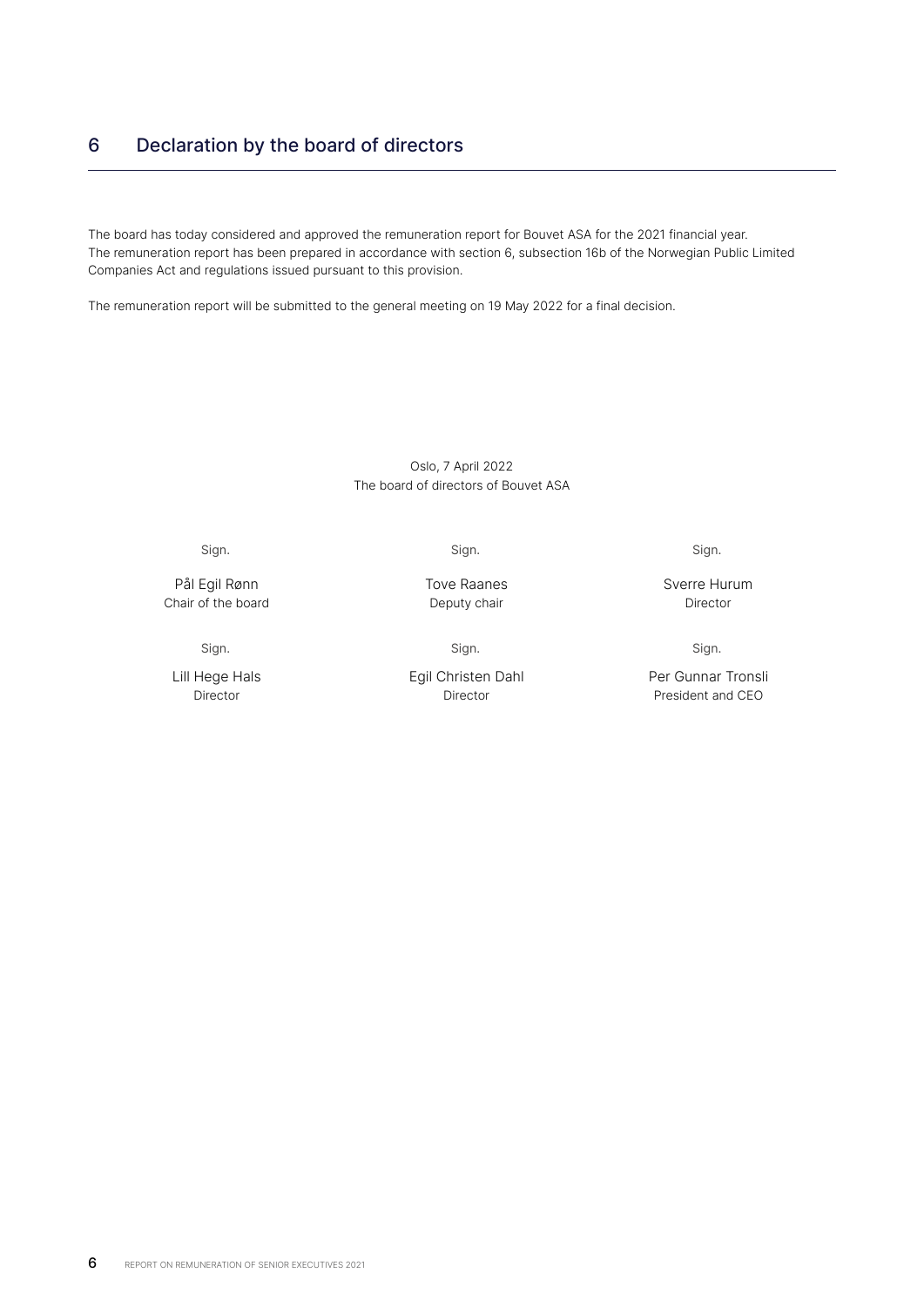# 6 Declaration by the board of directors

The board has today considered and approved the remuneration report for Bouvet ASA for the 2021 financial year. The remuneration report has been prepared in accordance with section 6, subsection 16b of the Norwegian Public Limited Companies Act and regulations issued pursuant to this provision.

The remuneration report will be submitted to the general meeting on 19 May 2022 for a final decision.

## Oslo, 7 April 2022 The board of directors of Bouvet ASA

Sign.

Pål Egil Rønn Chair of the board

Sign.

Lill Hege Hals Director

Sign.

Tove Raanes Deputy chair

Sign.

Egil Christen Dahl Director

Sign.

Sverre Hurum Director

Sign.

Per Gunnar Tronsli President and CEO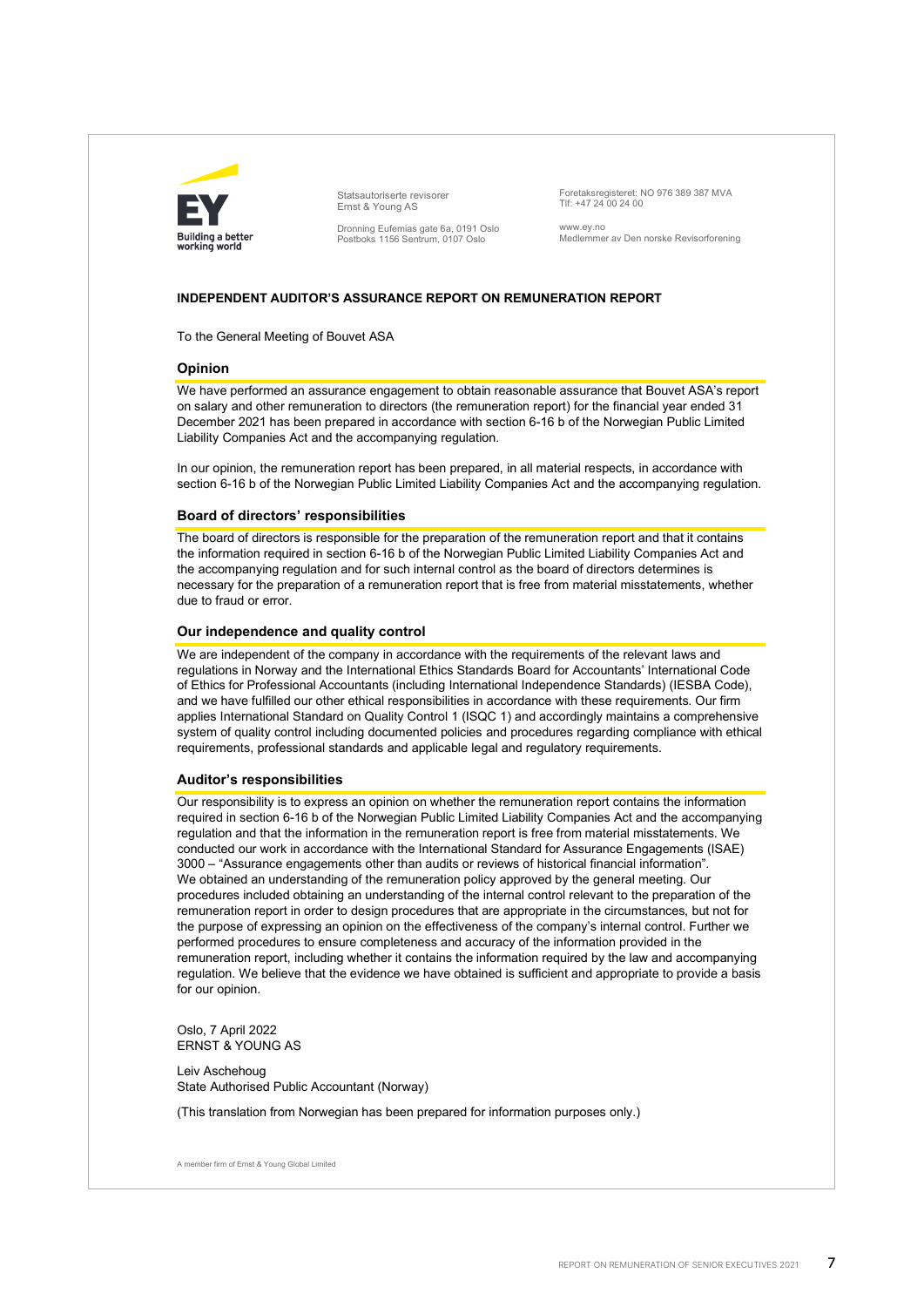

Statsautoriserte revisorer Ernst & Young AS

Dronning Eufemias gate 6a, 0191 Oslo Postboks 1156 Sentrum, 0107 Oslo

Foretaksregisteret: NO 976 389 387 MVA Tlf: +47 24 00 24 00

www.ey.no Medlemmer av Den norske Revisorforening

### **INDEPENDENT AUDITOR'S ASSURANCE REPORT ON REMUNERATION REPORT**

To the General Meeting of Bouvet ASA

#### **Opinion**

We have performed an assurance engagement to obtain reasonable assurance that Bouvet ASA's report on salary and other remuneration to directors (the remuneration report) for the financial year ended 31 December 2021 has been prepared in accordance with section 6-16 b of the Norwegian Public Limited Liability Companies Act and the accompanying regulation.

In our opinion, the remuneration report has been prepared, in all material respects, in accordance with section 6-16 b of the Norwegian Public Limited Liability Companies Act and the accompanying regulation.

#### **Board of directors' responsibilities**

The board of directors is responsible for the preparation of the remuneration report and that it contains the information required in section 6-16 b of the Norwegian Public Limited Liability Companies Act and the accompanying regulation and for such internal control as the board of directors determines is necessary for the preparation of a remuneration report that is free from material misstatements, whether due to fraud or error.

#### **Our independence and quality control**

We are independent of the company in accordance with the requirements of the relevant laws and regulations in Norway and the International Ethics Standards Board for Accountants' International Code of Ethics for Professional Accountants (including International Independence Standards) (IESBA Code), and we have fulfilled our other ethical responsibilities in accordance with these requirements. Our firm applies International Standard on Quality Control 1 (ISQC 1) and accordingly maintains a comprehensive system of quality control including documented policies and procedures regarding compliance with ethical requirements, professional standards and applicable legal and regulatory requirements.

#### **Auditor's responsibilities**

Our responsibility is to express an opinion on whether the remuneration report contains the information required in section 6-16 b of the Norwegian Public Limited Liability Companies Act and the accompanying regulation and that the information in the remuneration report is free from material misstatements. We conducted our work in accordance with the International Standard for Assurance Engagements (ISAE) 3000 – "Assurance engagements other than audits or reviews of historical financial information". We obtained an understanding of the remuneration policy approved by the general meeting. Our procedures included obtaining an understanding of the internal control relevant to the preparation of the remuneration report in order to design procedures that are appropriate in the circumstances, but not for the purpose of expressing an opinion on the effectiveness of the company's internal control. Further we performed procedures to ensure completeness and accuracy of the information provided in the remuneration report, including whether it contains the information required by the law and accompanying regulation. We believe that the evidence we have obtained is sufficient and appropriate to provide a basis for our opinion.

Oslo, 7 April 2022 ERNST & YOUNG AS

Leiv Aschehoug State Authorised Public Accountant (Norway)

(This translation from Norwegian has been prepared for information purposes only.)

A member firm of Ernst & Young Global Limited